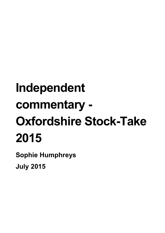# **Independent commentary - Oxfordshire Stock-Take 2015**

**Sophie Humphreys July 2015**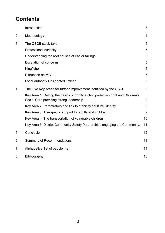# **Contents**

| $\mathbf 1$ | Introduction                                                                                                                  | 3              |
|-------------|-------------------------------------------------------------------------------------------------------------------------------|----------------|
| 2           | Methodology                                                                                                                   | $\overline{4}$ |
| 3           | The OSCB stock-take                                                                                                           | 5              |
|             | Professional curiosity                                                                                                        | 5              |
|             | Understanding the root causes of earlier failings                                                                             | 5              |
|             | <b>Escalation of concerns</b>                                                                                                 | 5              |
|             | Kingfisher                                                                                                                    | 6              |
|             | Disruption activity                                                                                                           | $\overline{7}$ |
|             | <b>Local Authority Designated Officer</b>                                                                                     | 8              |
| 4           | The Five Key Areas for further improvement identified by the OSCB                                                             | 9              |
|             | Key Area 1: Getting the basics of frontline child protection right and Children's<br>Social Care providing strong leadership. | 9              |
|             | Key Area 2: Perpetrators and link to ethnicity / cultural identity                                                            | 9              |
|             | Key Area 3: Therapeutic support for adults and children                                                                       | 9              |
|             | Key Area 4: The transportation of vulnerable children                                                                         | 10             |
|             | Key Area 5: District Community Safety Partnerships engaging the Community.                                                    | 11             |
| 5           | Conclusion                                                                                                                    | 12             |
| 6           | <b>Summary of Recommendations</b>                                                                                             | 13             |
| 7           | Alphabetical list of people met                                                                                               | 14             |
| 8           | Bibliography                                                                                                                  | 16             |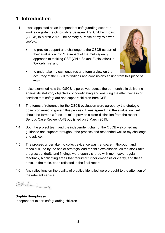# <span id="page-2-0"></span>**1 Introduction**

- 1.1 I was appointed as an independent safeguarding expert to work alongside the Oxfordshire Safeguarding Children Board (OSCB) in March 2015. The primary purpose of my role was twofold:
	- to provide support and challenge to the OSCB as part of their evaluation into 'the impact of the multi-agency approach to tackling CSE (Child Sexual Exploitation) in 'Oxfordshire' and;



- to undertake my own enquires and form a view on the accuracy of the OSCB's findings and conclusions arising from this piece of work.
- 1.2 I also examined how the OSCB is perceived across the partnership in delivering against its statutory objectives of coordinating and ensuring the effectiveness of services that safeguard and support children from CSE.
- 1.3 The terms of reference for the OSCB evaluation were agreed by the strategic board convened to govern this process. It was agreed that the evaluation itself should be termed a 'stock-take' to provide a clear distinction from the recent Serious Case Review (A-F) published on 3 March 2015.
- 1.4 Both the project team and the independent chair of the OSCB welcomed my guidance and support throughout the process and responded well to my challenge and advice.
- 1.5 The process undertaken to collect evidence was transparent, thorough and tenacious, led by the senior strategic lead for child exploitation. As the stock-take progressed, drafts and findings were openly shared with me. I gave regular feedback, highlighting areas that required further emphasis or clarity, and these have, in the main, been reflected in the final report.
- 1.6 Any reflections on the quality of practice identified were brought to the attention of the relevant service.

Sadu

**Sophie Humphreys** Independent expert safeguarding children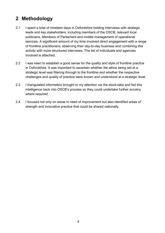# <span id="page-3-0"></span>**2 Methodology**

- 2.1 I spent a total of nineteen days in Oxfordshire holding interviews with strategic leads and key stakeholders; including members of the OSCB, relevant local politicians, Members of Parliament and middle management of operational services. A significant amount of my time involved direct engagement with a range of frontline practitioners; observing their day-to-day business and combining this activity with more structured interviews. The list of individuals and agencies involved is attached.
- 2.2 I was keen to establish a good sense for the quality and style of frontline practice in Oxfordshire. It was important to ascertain whether the ethos being set at a strategic level was filtering through to the frontline and whether the respective challenges and quality of practice were known and understood at a strategic level.
- 2.3 I triangulated information brought to my attention via the stock-take and fed this intelligence back into OSCB's process so they could undertake further scrutiny where required.
- 2.4 I focused not only on areas in need of improvement but also identified areas of strength and innovative practice that could be shared nationally.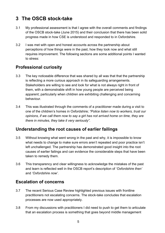# <span id="page-4-0"></span>**3 The OSCB stock-take**

- 3.1 My professional assessment is that I agree with the overall comments and findings of the OSCB stock-take (June 2015) and their conclusion that there has been solid progress made in how CSE is understood and responded to in Oxfordshire.
- 3.2 I was met with open and honest accounts across the partnership about perceptions of how things were in the past, how they look now and what still requires improvement. The following sections are some additional points I wanted to stress:

## <span id="page-4-1"></span>**Professional curiosity**

- 3.3 The key noticeable difference that was shared by all was that that the partnership is reflecting a more curious approach in its safeguarding arrangements. Stakeholders are willing to see and look for what is not always right in front of them, with a demonstrable shift in how young people are perceived being apparent; particularly when children are exhibiting challenging and concerning behaviour.
- 3.4 This was illustrated through the comments of a practitioner made during a visit to one of the children's homes in Oxfordshire; *"Police listen now to workers, trust our opinions, if we call them now to say a girl has not arrived home on time, they are there in minutes, they take it very seriously".*

## <span id="page-4-2"></span>**Understanding the root causes of earlier failings**

- 3.5 Without knowing what went wrong in the past and why, it is impossible to know what needs to change to make sure errors aren't repeated and poor practice isn't left unchallenged. The partnership has demonstrated good insight into the root causes of earlier failings and can evidence the considerable steps that have been taken to remedy them.
- 3.6 This transparency and clear willingness to acknowledge the mistakes of the past and learn is reflected well in the OSCB report's description of *'Oxfordshire then'* and *'Oxfordshire now'*.

## <span id="page-4-3"></span>**Escalation of concerns**

- 3.7 The recent Serious Case Review highlighted previous issues with frontline practitioners not escalating concerns. The stock-take concludes that escalation processes are now used appropriately.
- 3.8 From my discussions with practitioners I did need to push to get them to articulate that an escalation process is something that goes beyond middle management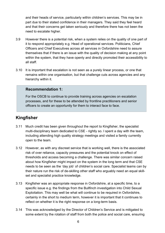and their heads of service, particularly within children's services. This may be in part due to their stated confidence in their managers. They said they feel heard and that their concerns get taken seriously and therefore there has not been the need to escalate higher.

- 3.9 However there is a potential risk, when a system relies on the quality of one part of it to respond appropriately e.g. Head of operational services. Politicians, Chief Officers and Chief Executives across all services in Oxfordshire need to assure themselves that if there is an issue with the quality of decision making at any point within the system, that they have openly and directly promoted their accessibility to all staff.
- 3.10 It is important that escalation is not seen as a purely linear process, or one that remains within one organisation, but that challenge cuts across agencies and any hierarchy within it.

#### **Recommendation 1:**

For the OSCB to continue to provide training across agencies on escalation processes, and for these to be attended by frontline practitioners and senior officers to create an opportunity for them to interact face to face.

## <span id="page-5-0"></span>**Kingfisher**

- 3.11 Much credit has been given throughout the report to Kingfisher, the specialist multi-disciplinary team dedicated to CSE - rightly so. I spent a day with the team, including attending high quality strategy meetings and visited a family currently open to the team.
- 3.12 However, as with any discreet service that is working well, there is the associated risk of over reliance, capacity pressures and the potential knock on effect of thresholds and access becoming a challenge. There was similar concern raised about how Kingfisher might impact on the system in the long term and that CSE needs to be seen as the 'day job' of children's social care. Specialist teams can by their nature run the risk of de-skilling other staff who arguably need an equal skillset and specialist practice knowledge.
- 3.13 Kingfisher was an appropriate response in Oxfordshire, at a specific time, to a specific issue e.g. the findings from the Bullfinch investigation into Child Sexual Exploitation. This may well be what will continue to be required in Oxfordshire, certainly in the short to medium term, however it is important that it continues to reflect on whether it is the right response on a long-term basis.
- 3.14 This was acknowledged by the Director of Children's Service and is mitigated to some extent by the rotation of staff from both the police and social care, ensuring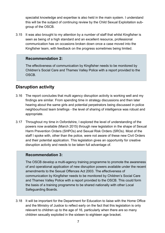specialist knowledge and expertise is also held in the main system. I understand this will be the subject of continuing review by the Child Sexual Exploitation subgroup of the OSCB.

3.15 It was also brought to my attention by a number of staff that whilst Kingfisher is seen as being of a high standard and an excellent resource, professional communication has on occasions broken down once a case moved into the Kingfisher team, with feedback on the progress sometimes being limited.

#### **Recommendation 2:**

The effectiveness of communication by Kingfisher needs to be monitored by Children's Social Care and Thames Valley Police with a report provided to the **OSCB.** 

#### <span id="page-6-0"></span>**Disruption activity**

- 3.16 The report concludes that multi agency disruption activity is working well and my findings are similar. From spending time in strategy discussions and then later hearing about the same girls and potential perpetrators being discussed in police neighbourhood team briefings - the level of sharing of intelligence was robust and appropriate.
- 3.17 Throughout my time in Oxfordshire, I explored the level of understanding of the powers now available (March 2015) through new legislation in the shape of Sexual Harm Prevention Orders (SHPOs) and Sexual Risk Orders (SROs). Most of the staff I spoke with, other than the police, were not aware of these new Civil Orders and their potential application. This legislation gives an opportunity for creative disruption activity and needs to be taken full advantage of.

#### **Recommendation 3:**

The OSCB develop a multi-agency training programme to promote the awareness of and operational application of new disruption powers available under the recent amendments to the Sexual Offences Act 2003. The effectiveness of communication by Kingfisher needs to be monitored by Children's Social Care and Thames Valley Police with a report provided to the OSCB. This could form the basis of a training programme to be shared nationally with other Local Safeguarding Boards.

3.18 It will be important for the Department for Education to liaise with the Home Office and the Ministry of Justice to reflect early on the fact that this legislation is only relevant to children up to the age of 16, particularly when there are so many children sexually exploited in the sixteen to eighteen age bracket.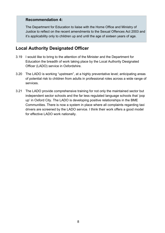#### **Recommendation 4:**

The Department for Education to liaise with the Home Office and Ministry of Justice to reflect on the recent amendments to the Sexual Offences Act 2003 and it's applicability only to children up and until the age of sixteen years of age.

#### <span id="page-7-0"></span>**Local Authority Designated Officer**

- 3.19 I would like to bring to the attention of the Minister and the Department for Education the breadth of work taking place by the Local Authority Designated Officer (LADO) service in Oxfordshire.
- 3.20 The LADO is working "upstream", at a highly preventative level; anticipating areas of potential risk to children from adults in professional roles across a wide range of services.
- 3.21 The LADO provide comprehensive training for not only the maintained sector but independent sector schools and the far less regulated language schools that 'pop up' in Oxford City. The LADO is developing positive relationships in the BME Communities. There is now a system in place where all complaints regarding taxi drivers are screened by the LADO service. I think their work offers a good model for effective LADO work nationally.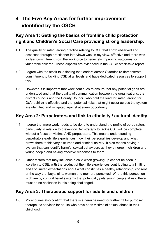# <span id="page-8-0"></span>**4 The Five Key Areas for further improvement identified by the OSCB**

## <span id="page-8-1"></span>**Key Area 1: Getting the basics of frontline child protection right and Children's Social Care providing strong leadership.**

- 4.1 The quality of safeguarding practice relating to CSE that I both observed and assessed through practitioner interviews was, in my view, effective and there was a clear commitment from the workforce to genuinely improving outcomes for vulnerable children. These aspects are evidenced in the OSCB stock-take report.
- 4.2 I agree with the stock-take finding that leaders across Oxfordshire demonstrate commitment to tackling CSE at all levels and have dedicated resources to support this.
- 4.3 However, it is important that work continues to ensure that any potential gaps are understood and that the quality of communication between the organisations, the district councils and the County Council (who hold the lead for safeguarding for Oxfordshire) is effective and that potential risks that might occur across the system are identified and mitigated against at every opportunity.

### <span id="page-8-2"></span>**Key Area 2: Perpetrators and link to ethnicity / cultural identity**

- 4.4 I agree that more work needs to be done to understand the profile of perpetrators, particularly in relation to prevention. No strategy to tackle CSE will be complete without a focus on victims AND perpetrators. This means understanding perpetrators early life experiences, how their personalities develop and what draws them to this very disturbed and criminal activity. It also means having a system that can identify harmful sexual behaviours as they emerge in children and young people and having effective responses to them.
- 4.5 Other factors that may influence a child when growing up cannot be seen in isolation to CSE; with the product of their life experiences contributing to a limiting and / or limited expectations about what constitutes a healthy relationship, consent or the way that boys, girls, women and men are perceived. Where this perception is driven by cultural belief systems that potentially puts young people at risk, there must be no hesitation in this being challenged.

## <span id="page-8-3"></span>**Key Area 3: Therapeutic support for adults and children**

4.6 My enquires also confirm that there is a genuine need for further 'fit for purpose' therapeutic services for adults who have been victims of sexual abuse in their childhood.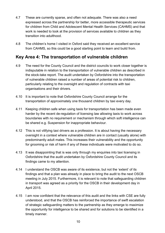- 4.7 These are currently sparse, and often not adequate. There was also a need expressed across the partnership for better, more accessible therapeutic services for children from Child and Adolescent Mental Health Services (CAHMS) and that work is needed to look at the provision of services available to children as they transition into adulthood.
- 4.8 The children's home I visited in Oxford said they received an excellent service from CAHMS, so this could be a good starting point to learn and build from.

## <span id="page-9-0"></span>**Key Area 4: The transportation of vulnerable children**

- 4.9 The need for the County Council and the district councils to work closer together is indisputable in relation to the transportation of vulnerable children as described in the stock-take report. The audit undertaken by Oxfordshire into the transportation of vulnerable children raised a number of areas of potential risk to children, particularly relating to the oversight and regulation of contracts with taxi organisations and their drivers.
- 4.10 It is important to note that Oxfordshire County Council arrange for the transportation of approximately one thousand children by taxi every day.
- 4.11 Keeping children safe when using taxis for transportation has been made even harder by the recent de-regulation of licensing law allowing taxis to work across boundaries with no requirement or mechanism through which soft intelligence can be shared e.g. Suspension for inappropriate behaviour.
- 4.12 This is not vilifying taxi drivers as a profession. It is about having the necessary oversight in a context where vulnerable children are in contact (usually alone) with predominantly adult males. This increases their vulnerability and the opportunity for grooming or risk of harm if any of these individuals were motivated to do so.
- 4.13 It was disappointing that is was only through my enquiries into taxi licensing in Oxfordshire that the audit undertaken by Oxfordshire County Council and its findings came to my attention.
- 4.14 I understand the OSCB was aware of its existence, but not the 'extent' of its findings and that a plan was already in place to bring the audit to the next OSCB meeting in July 2015. Furthermore, it is relevant to note that safeguarding children in transport was agreed as a priority for the OSCB in their development day in April 2015.
- 4.15 I am now confident that the relevance of this audit and the links with CSE are fully understood, and that the OSCB has reinforced the importance of swift escalation of strategic safeguarding matters to the partnership as they emerge to maximize the opportunity for intelligence to be shared and for solutions to be identified in a timely manner.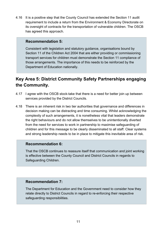4.16 It is a positive step that the County Council has extended the Section 11 audit requirement to include a return from the Environment & Economy Directorate on its oversight of contracts for the transportation of vulnerable children. The OSCB has agreed this approach.

#### **Recommendation 5:**

Consistent with legislation and statutory guidance, organisations bound by Section 11 of the Children Act 2004 that are either providing or commissioning transport services for children must demonstrate the Section 11 compliance of those arrangements. The importance of this needs to be reinforced by the Department of Education nationally.

## <span id="page-10-0"></span>**Key Area 5: District Community Safety Partnerships engaging the Community.**

- 4.17 I agree with the OSCB stock-take that there is a need for better join up between services provided by the District Councils.
- 4.18 There is an inherent risk in two tier authorities that governance and differences in decision making can be distracting and time consuming. Whilst acknowledging the complexity of such arrangements, it is nonetheless vital that leaders demonstrate the right behaviours and do not allow themselves to be unintentionally diverted from the need for services to work in partnership to maximise safeguarding of children and for this message to be clearly disseminated to all staff. Clear systems and strong leadership needs to be in place to mitigate this inevitable area of risk.

#### **Recommendation 6:**

That the OSCB continues to reassure itself that communication and joint working is effective between the County Council and District Councils in regards to Safeguarding Children.

#### **Recommendation 7:**

The Department for Education and the Government need to consider how they relate directly to District Councils in regard to re-enforcing their respective safeguarding responsibilities.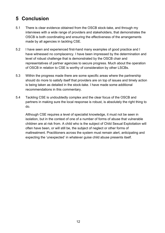# <span id="page-11-0"></span>**5 Conclusion**

- 5.1 There is clear evidence obtained from the OSCB stock-take, and through my interviews with a wide range of providers and stakeholders, that demonstrates the OSCB is both coordinating and ensuring the effectiveness of the arrangements made by all agencies in tackling CSE.
- 5.2 I have seen and experienced first-hand many examples of good practice and I have witnessed no complacency. I have been impressed by the determination and level of robust challenge that is demonstrated by the OSCB chair and representatives of partner agencies to secure progress. Much about the operation of OSCB in relation to CSE is worthy of consideration by other LSCBs.
- 5.3 Within the progress made there are some specific areas where the partnership should do more to satisfy itself that providers are on top of issues and timely action is being taken as detailed in the stock-take. I have made some additional recommendations in this commentary.
- 5.4 Tackling CSE is undoubtedly complex and the clear focus of the OSCB and partners in making sure the local response is robust, is absolutely the right thing to do.

Although CSE requires a level of specialist knowledge, it must not be seen in isolation, but in the context of one of a number of forms of abuse that vulnerable children are at risk from. A child who is the subject of Child Sexual Exploitation will often have been, or will still be, the subject of neglect or other forms of maltreatment. Practitioners across the system must remain alert, anticipating and expecting the 'unexpected' in whatever guise child abuse presents itself.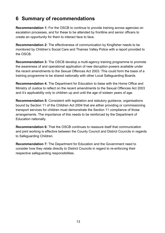# <span id="page-12-0"></span>**6 Summary of recommendations**

**Recommendation 1:** For the OSCB to continue to provide training across agencies on escalation processes, and for these to be attended by frontline and senior officers to create an opportunity for them to interact face to face.

**Recommendation 2:** The effectiveness of communication by Kingfisher needs to be monitored by Children's Social Care and Thames Valley Police with a report provided to the OSCB.

**Recommendation 3:** The OSCB develop a multi-agency training programme to promote the awareness of and operational application of new disruption powers available under the recent amendments to the Sexual Offences Act 2003. This could form the basis of a training programme to be shared nationally with other Local Safeguarding Boards.

**Recommendation 4:** The Department for Education to liaise with the Home Office and Ministry of Justice to reflect on the recent amendments to the Sexual Offences Act 2003 and it's applicability only to children up and until the age of sixteen years of age.

**Recommendation 5:** Consistent with legislation and statutory guidance, organisations bound by Section 11 of the Children Act 2004 that are either providing or commissioning transport services for children must demonstrate the Section 11 compliance of those arrangements. The importance of this needs to be reinforced by the Department of Education nationally.

**Recommendation 6:** That the OSCB continues to reassure itself that communication and joint working is effective between the County Council and District Councils in regards to Safeguarding Children.

**Recommendation 7:** The Department for Education and the Government need to consider how they relate directly to District Councils in regard to re-enforcing their respective safeguarding responsibilities.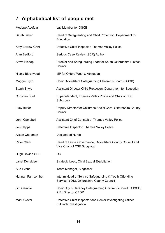# <span id="page-13-0"></span>**7 Alphabetical list of people met**

| Modupe Adefala         | Lay Member for OSCB                                                                                 |
|------------------------|-----------------------------------------------------------------------------------------------------|
| Sarah Baker            | Head of Safeguarding and Child Protection, Department for<br>Education                              |
| Katy Barrow-Grint      | Detective Chief Inspector, Thames Valley Police                                                     |
| Alan Bedford           | Serious Case Review (SCR) Author                                                                    |
| <b>Steve Bishop</b>    | Director and Safeguarding Lead for South Oxfordshire District<br>Council                            |
| Nicola Blackwood       | MP for Oxford West & Abingdon                                                                       |
| Maggie Blyth           | Chair Oxfordshire Safeguarding Children's Board (OSCB)                                              |
| Steph Brivio           | Assistant Director Child Protection, Department for Education                                       |
| <b>Christian Bunt</b>  | Superintendent, Thames Valley Police and Chair of CSE<br>Subgroup                                   |
| <b>Lucy Butler</b>     | Deputy Director for Childrens Social Care, Oxfordshire County<br>Council                            |
| John Campbell          | Assistant Chief Constable, Thames Valley Police                                                     |
| Jon Capps              | Detective Inspector, Thames Valley Police                                                           |
| Alison Chapman         | <b>Designated Nurse</b>                                                                             |
| <b>Peter Clark</b>     | Head of Law & Governance, Oxfordshire County Council and<br>Vice Chair of CSE Subgroup              |
| <b>Hugh Davies OBE</b> | QC                                                                                                  |
| Janet Donaldson        | Strategic Lead, Child Sexual Exploitation                                                           |
| Sue Evans              | Team Manager, Kingfisher                                                                            |
| Hannah Farncombe       | Interim Head of Service Safeguarding & Youth Offending<br>Service (YOS), Oxfordshire County Council |
| Jim Gamble             | Chair City & Hackney Safeguarding Children's Board (CHSCB)<br>& Ex Director CEOP                    |
| <b>Mark Glover</b>     | Detective Chief Inspector and Senior Investigating Officer<br><b>Bullfinch investigation</b>        |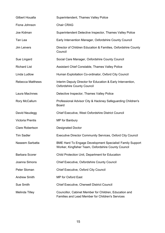| Gilbert Houalla         | Superintendent, Thames Valley Police                                                                             |
|-------------------------|------------------------------------------------------------------------------------------------------------------|
| Fiona Johnson           | <b>Chair CRAG</b>                                                                                                |
| Joe Kidman              | Superintendent Detective Inspector, Thames Valley Police                                                         |
| Tan Lea                 | Early Intervention Manager, Oxfordshire County Council                                                           |
| Jim Leivers             | Director of Children Education & Families, Oxfordshire County<br>Council                                         |
| Sue Lingard             | Social Care Manager, Oxfordshire County Council                                                                  |
| <b>Richard List</b>     | Assistant Chief Constable, Thames Valley Police                                                                  |
| Linda Ludlow            | Human Exploitation Co-ordinator, Oxford City Council                                                             |
| <b>Rebecca Matthews</b> | Interim Deputy Director for Education & Early Intervention,<br><b>Oxfordshire County Council</b>                 |
| Laura MacInnes          | Detective Inspector, Thames Valley Police                                                                        |
| Rory McCallum           | Professional Advisor City & Hackney Safeguarding Children's<br><b>Board</b>                                      |
| David Neudegg           | Chief Executive, West Oxfordshire District Council                                                               |
| <b>Victoria Prentis</b> | MP for Banbury                                                                                                   |
| <b>Clare Robertson</b>  | <b>Designated Doctor</b>                                                                                         |
| <b>Tim Sadler</b>       | <b>Executive Director Community Services, Oxford City Council</b>                                                |
| Naseem Sarbatta         | BME Hard To Engage Development Specialist/ Family Support<br>Worker, Kingfisher Team, Oxfordshire County Council |
| <b>Barbara Scorer</b>   | Child Protection Unit, Department for Education                                                                  |
| Joanna Simons           | Chief Executive, Oxfordshire County Council                                                                      |
| Peter Sloman            | Chief Executive, Oxford City Council                                                                             |
| <b>Andrew Smith</b>     | MP for Oxford East                                                                                               |
| Sue Smith               | <b>Chief Executive, Cherwell District Council</b>                                                                |
| <b>Melinda Tilley</b>   | Councillor, Cabinet Member for Children, Education and<br>Families and Lead Member for Children's Services       |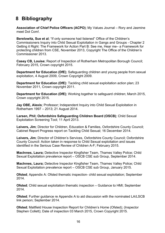# <span id="page-15-0"></span>**8 Bibliography**

**Association of Chief Police Officers (ACPO)**; My Values Journal – Rory and Jasmine meet Dot Com!.

**Berelowitz, Sue et al**; "If only someone had listened" Office of the Children's Commissioners Inquiry into Child Sexual Exploitation in Gangs and Groups - Chapter 2 Getting it Right: The Framework for Action Part B: See me, Hear me– a Framework for protecting children from CSE, November 2013, Copyright The Office of the Children's Commissioner 2013.

**Casey CB, Louise**; Report of Inspection of Rotherham Metropolitan Borough Council; February 2015, Crown copyright 2015.

**Department for Education (DfE)**; Safeguarding children and young people from sexual exploitation, 4 August 2009, Crown Copyright 2009.

**Department for Education (DfE)**: Tackling child sexual exploitation action plan; 23 November 2011, Crown copyright 2011.

**Department for Education (DfE)**; Working together to safeguard children; March 2015, Crown copyright 2015.

**Jay OBE, Alexis**; Professor; Independent Inquiry into Child Sexual Exploitation in Rotherham 1997 – 2013; 21 August 2014.

**Larsen, Phil; Oxfordshire Safeguarding Children Board (OSCB)**; Child Sexual Exploitation Screening Tool; 11 April 2013.

**Leivers, Jim**; Director for Children, Education & Families, Oxfordshire County Council; Cabinet Report Progress report on Tackling Child Sexual; 16 December 2014.

**Leivers, Jim**; Director of Children's Services, Oxfordshire County Council; Oxfordshire County Council: Action taken in response to Child Sexual exploitation and issues identified in the Serious Case Review of Children A-F; February 2015.

**MacInnes, Laura;** Detective Inspector Kingfisher Team, Thames Valley Police; Child Sexual Exploitation prevalence report – OSCB CSE sub Group, September 2014.

**MacInnes, Laura;** Detective Inspector Kingfisher Team, Thames Valley Police; Child Sexual Exploitation prevalence report – OSCB CSE sub Group, January 2015.

**Ofsted**; Appendix A: Ofsted thematic inspection- child sexual exploitation; September 2014.

**Ofsted**; Child sexual exploitation thematic inspection – Guidance to HMI; September 2014.

**Ofsted**; Further guidance re Appendix A to aid discussion with the nominated LA/LSCB link person; September 2014.

**Ofsted**; Maltfield House Inspection Report for Children's Home (Ofsted); (Inspector Stephen Collett); Date of inspection 03 March 2015, Crown Copyright 2015.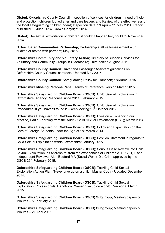**Ofsted;** Oxfordshire County Council: Inspection of services for children in need of help and protection, children looked after and care leavers and Review of the effectiveness of the local safeguarding children board; Inspection date: 29 April – 21 May 2014, Report published 30 June 2014, Crown Copyright 2014.

**Ofsted;** The sexual exploitation of children: it couldn't happen her, could it? November 2014.

**Oxford Safer Communities Partnership**; Partnership staff self-assessment – un audited or tested with partners; May 2015.

**Oxfordshire Community and Voluntary Action**; Directory of Support Services for Voluntary and Community Groups in Oxfordshire; Third edition August 2011.

**Oxfordshire County Council**; Driver and Passenger Assistant guidelines on Oxfordshire County Council contracts; Updated May 2015.

**Oxfordshire County Council**; Safeguarding Policy for Transport; 18 March 2015.

**Oxfordshire Missing Persons Panel**; Terms of Reference; version March 2015.

**Oxfordshire Safeguarding Children Board (OSCB)**; Child Sexual Exploitation in Oxfordshire: Agency Response since 2011; February 2015.

**Oxfordshire Safeguarding Children Board (OSCB)**; Child Sexual Exploitation Procedures 'If you haven't found it – keep looking';  $5<sup>th</sup>$  October 2012.

**Oxfordshire Safeguarding Children Board (OSCB)**; Eyes on – Enhancing our practice, Part 1 Learning from the Audit - Child Sexual Exploitation (CSE); March 2014.

**Oxfordshire Safeguarding Children Board (OSCB)**; Policy and Expectation on the Care of Foreign Students under the Age of 18; March 2014.

**Oxfordshire Safeguarding Children Board (OSCB)**; Position Statement in regards to Child Sexual Exploitation within Oxfordshire; January 2015.

**Oxfordshire Safeguarding Children Board (OSCB)**; Serious Case Review into Child Sexual Exploitation in Oxfordshire: from the experiences of Children A, B, C, D, E and F; Independent Reviewer Alan Bedford MA (Social Work), Dip.Crim; approved by the OSCB 26<sup>th</sup> February 2015.

**Oxfordshire Safeguarding Children Board (OSCB)**; Tackling Child Sexual Exploitation Action Plan: 'Never give up on a child'; Master Copy - Updated December 2014.

**Oxfordshire Safeguarding Children Board (OSCB)**; Tackling Child Sexual Exploitation: Professionals' Handbook, 'Never give up on a child'; Version 6 March 2015.

**Oxfordshire Safeguarding Children Board (OSCB) Subgroup;** Meeting papers & Minutes – 5 February 2015.

**Oxfordshire Safeguarding Children Board (OSCB) Subgroup;** Meeting papers & Minutes – 21 April 2015.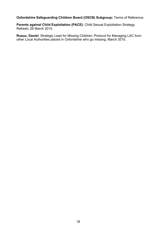#### **Oxfordshire Safeguarding Children Board (OSCB) Subgroup;** Terms of Reference.

**Parents against Child Exploitation (PACE)**; Child Sexual Exploitation Strategy Refresh; 26 March 2015.

**Ruaux, Daniel**; Strategic Lead for Missing Children; Protocol for Managing LAC from other Local Authorities placed in Oxfordshire who go missing; March 2015.